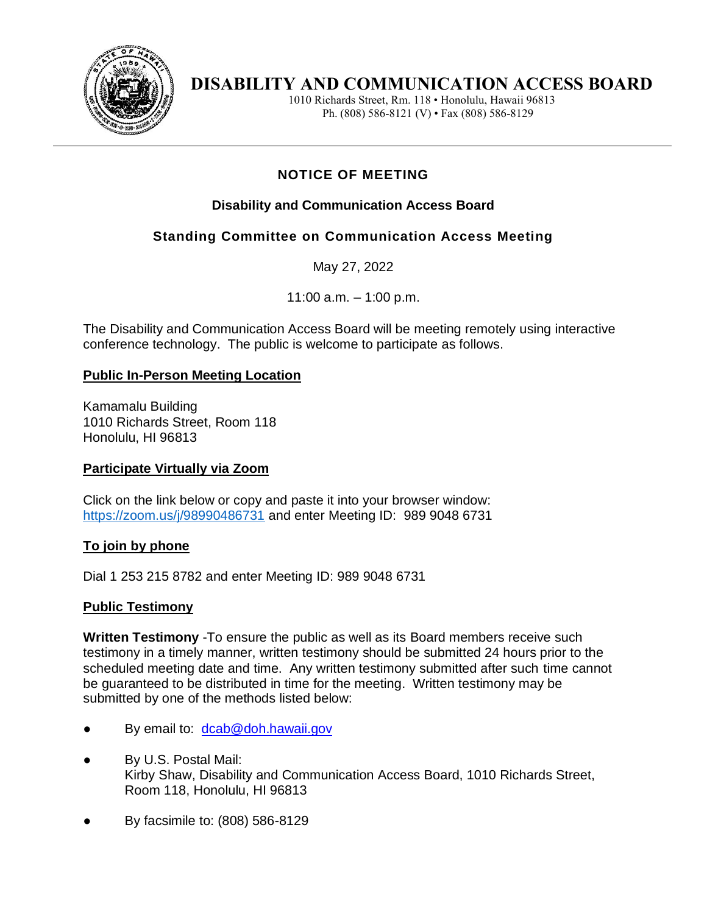

# **DISABILITY AND COMMUNICATION ACCESS BOARD**

1010 Richards Street, Rm. 118 • Honolulu, Hawaii 96813 Ph. (808) 586-8121 (V) • Fax (808) 586-8129

## **NOTICE OF MEETING**

### **Disability and Communication Access Board**

## **Standing Committee on Communication Access Meeting**

May 27, 2022

11:00 a.m. – 1:00 p.m.

The Disability and Communication Access Board will be meeting remotely using interactive conference technology. The public is welcome to participate as follows.

#### **Public In-Person Meeting Location**

Kamamalu Building 1010 Richards Street, Room 118 Honolulu, HI 96813

#### **Participate Virtually via Zoom**

Click on the link below or copy and paste it into your browser window: <https://zoom.us/j/98990486731> and enter Meeting ID: 989 9048 6731

#### **To join by phone**

Dial 1 253 215 8782 and enter Meeting ID: 989 9048 6731

#### **Public Testimony**

**Written Testimony** -To ensure the public as well as its Board members receive such testimony in a timely manner, written testimony should be submitted 24 hours prior to the scheduled meeting date and time. Any written testimony submitted after such time cannot be guaranteed to be distributed in time for the meeting. Written testimony may be submitted by one of the methods listed below:

- By email to: [dcab@doh.hawaii.gov](mailto:dcab@doh.hawaii.gov)
- By U.S. Postal Mail: Kirby Shaw, Disability and Communication Access Board, 1010 Richards Street, Room 118, Honolulu, HI 96813
- By facsimile to: (808) 586-8129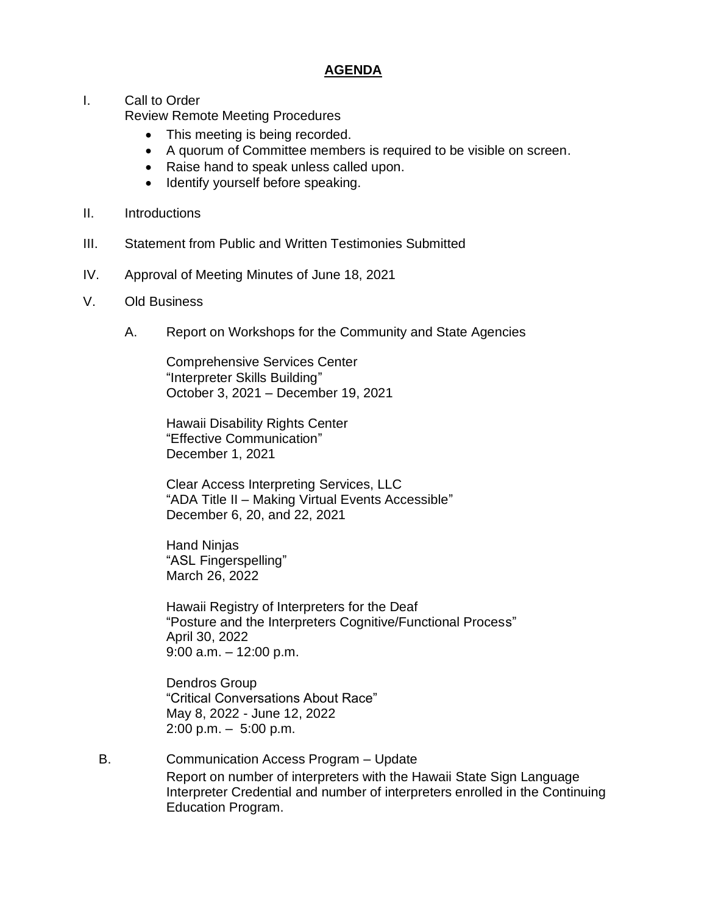#### **AGENDA**

I. Call to Order

Review Remote Meeting Procedures

- This meeting is being recorded.
- A quorum of Committee members is required to be visible on screen.
- Raise hand to speak unless called upon.
- Identify yourself before speaking.
- II. Introductions
- III. Statement from Public and Written Testimonies Submitted
- IV. Approval of Meeting Minutes of June 18, 2021
- V. Old Business
	- A. Report on Workshops for the Community and State Agencies

Comprehensive Services Center "Interpreter Skills Building" October 3, 2021 – December 19, 2021

Hawaii Disability Rights Center "Effective Communication" December 1, 2021

Clear Access Interpreting Services, LLC "ADA Title II – Making Virtual Events Accessible" December 6, 20, and 22, 2021

Hand Ninjas "ASL Fingerspelling" March 26, 2022

Hawaii Registry of Interpreters for the Deaf "Posture and the Interpreters Cognitive/Functional Process" April 30, 2022 9:00 a.m. – 12:00 p.m.

Dendros Group "Critical Conversations About Race" May 8, 2022 - June 12, 2022 2:00 p.m. – 5:00 p.m.

B. Communication Access Program – Update Report on number of interpreters with the Hawaii State Sign Language Interpreter Credential and number of interpreters enrolled in the Continuing Education Program.